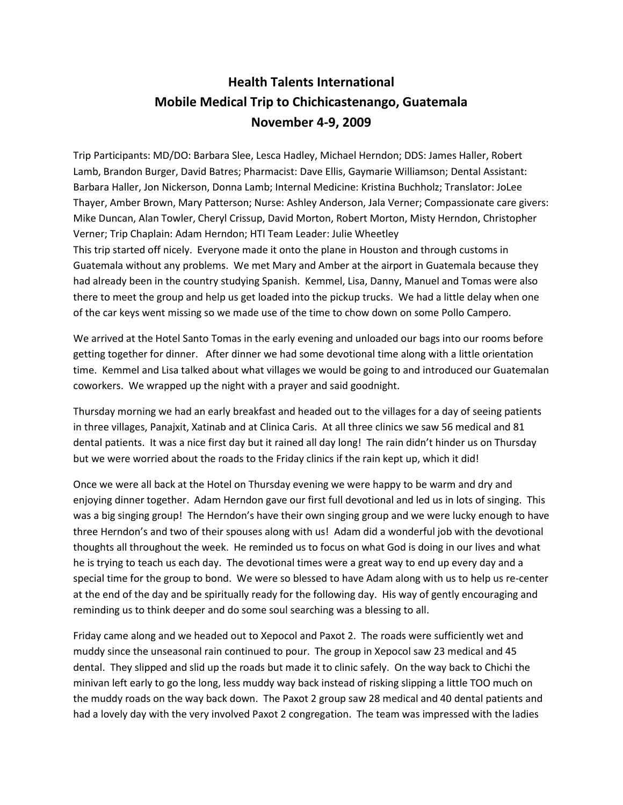## **Health Talents International Mobile Medical Trip to Chichicastenango, Guatemala November 4-9, 2009**

Trip Participants: MD/DO: Barbara Slee, Lesca Hadley, Michael Herndon; DDS: James Haller, Robert Lamb, Brandon Burger, David Batres; Pharmacist: Dave Ellis, Gaymarie Williamson; Dental Assistant: Barbara Haller, Jon Nickerson, Donna Lamb; Internal Medicine: Kristina Buchholz; Translator: JoLee Thayer, Amber Brown, Mary Patterson; Nurse: Ashley Anderson, Jala Verner; Compassionate care givers: Mike Duncan, Alan Towler, Cheryl Crissup, David Morton, Robert Morton, Misty Herndon, Christopher Verner; Trip Chaplain: Adam Herndon; HTI Team Leader: Julie Wheetley This trip started off nicely. Everyone made it onto the plane in Houston and through customs in Guatemala without any problems. We met Mary and Amber at the airport in Guatemala because they had already been in the country studying Spanish. Kemmel, Lisa, Danny, Manuel and Tomas were also there to meet the group and help us get loaded into the pickup trucks. We had a little delay when one of the car keys went missing so we made use of the time to chow down on some Pollo Campero.

We arrived at the Hotel Santo Tomas in the early evening and unloaded our bags into our rooms before getting together for dinner. After dinner we had some devotional time along with a little orientation time. Kemmel and Lisa talked about what villages we would be going to and introduced our Guatemalan coworkers. We wrapped up the night with a prayer and said goodnight.

Thursday morning we had an early breakfast and headed out to the villages for a day of seeing patients in three villages, Panajxit, Xatinab and at Clinica Caris. At all three clinics we saw 56 medical and 81 dental patients. It was a nice first day but it rained all day long! The rain didn't hinder us on Thursday but we were worried about the roads to the Friday clinics if the rain kept up, which it did!

Once we were all back at the Hotel on Thursday evening we were happy to be warm and dry and enjoying dinner together. Adam Herndon gave our first full devotional and led us in lots of singing. This was a big singing group! The Herndon's have their own singing group and we were lucky enough to have three Herndon's and two of their spouses along with us! Adam did a wonderful job with the devotional thoughts all throughout the week. He reminded us to focus on what God is doing in our lives and what he is trying to teach us each day. The devotional times were a great way to end up every day and a special time for the group to bond. We were so blessed to have Adam along with us to help us re-center at the end of the day and be spiritually ready for the following day. His way of gently encouraging and reminding us to think deeper and do some soul searching was a blessing to all.

Friday came along and we headed out to Xepocol and Paxot 2. The roads were sufficiently wet and muddy since the unseasonal rain continued to pour. The group in Xepocol saw 23 medical and 45 dental. They slipped and slid up the roads but made it to clinic safely. On the way back to Chichi the minivan left early to go the long, less muddy way back instead of risking slipping a little TOO much on the muddy roads on the way back down. The Paxot 2 group saw 28 medical and 40 dental patients and had a lovely day with the very involved Paxot 2 congregation. The team was impressed with the ladies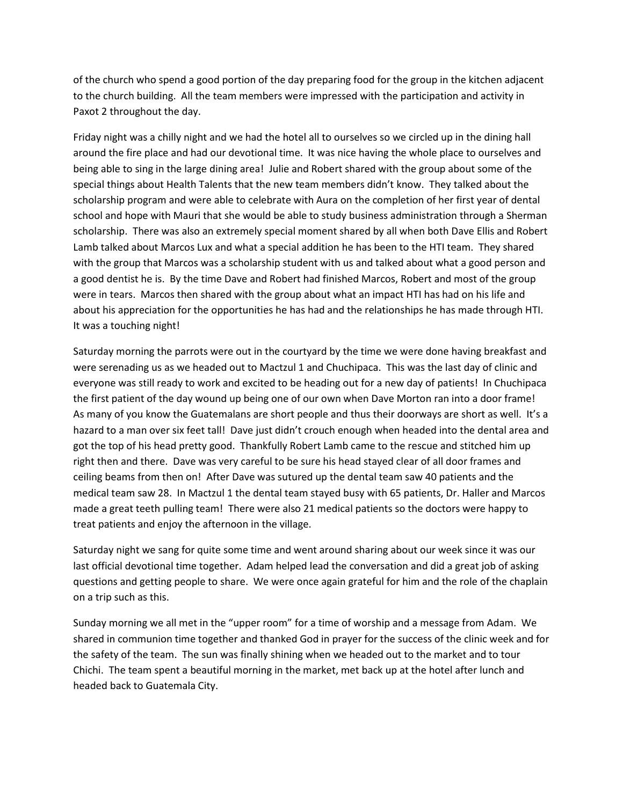of the church who spend a good portion of the day preparing food for the group in the kitchen adjacent to the church building. All the team members were impressed with the participation and activity in Paxot 2 throughout the day.

Friday night was a chilly night and we had the hotel all to ourselves so we circled up in the dining hall around the fire place and had our devotional time. It was nice having the whole place to ourselves and being able to sing in the large dining area! Julie and Robert shared with the group about some of the special things about Health Talents that the new team members didn't know. They talked about the scholarship program and were able to celebrate with Aura on the completion of her first year of dental school and hope with Mauri that she would be able to study business administration through a Sherman scholarship. There was also an extremely special moment shared by all when both Dave Ellis and Robert Lamb talked about Marcos Lux and what a special addition he has been to the HTI team. They shared with the group that Marcos was a scholarship student with us and talked about what a good person and a good dentist he is. By the time Dave and Robert had finished Marcos, Robert and most of the group were in tears. Marcos then shared with the group about what an impact HTI has had on his life and about his appreciation for the opportunities he has had and the relationships he has made through HTI. It was a touching night!

Saturday morning the parrots were out in the courtyard by the time we were done having breakfast and were serenading us as we headed out to Mactzul 1 and Chuchipaca. This was the last day of clinic and everyone was still ready to work and excited to be heading out for a new day of patients! In Chuchipaca the first patient of the day wound up being one of our own when Dave Morton ran into a door frame! As many of you know the Guatemalans are short people and thus their doorways are short as well. It's a hazard to a man over six feet tall! Dave just didn't crouch enough when headed into the dental area and got the top of his head pretty good. Thankfully Robert Lamb came to the rescue and stitched him up right then and there. Dave was very careful to be sure his head stayed clear of all door frames and ceiling beams from then on! After Dave was sutured up the dental team saw 40 patients and the medical team saw 28. In Mactzul 1 the dental team stayed busy with 65 patients, Dr. Haller and Marcos made a great teeth pulling team! There were also 21 medical patients so the doctors were happy to treat patients and enjoy the afternoon in the village.

Saturday night we sang for quite some time and went around sharing about our week since it was our last official devotional time together. Adam helped lead the conversation and did a great job of asking questions and getting people to share. We were once again grateful for him and the role of the chaplain on a trip such as this.

Sunday morning we all met in the "upper room" for a time of worship and a message from Adam. We shared in communion time together and thanked God in prayer for the success of the clinic week and for the safety of the team. The sun was finally shining when we headed out to the market and to tour Chichi. The team spent a beautiful morning in the market, met back up at the hotel after lunch and headed back to Guatemala City.